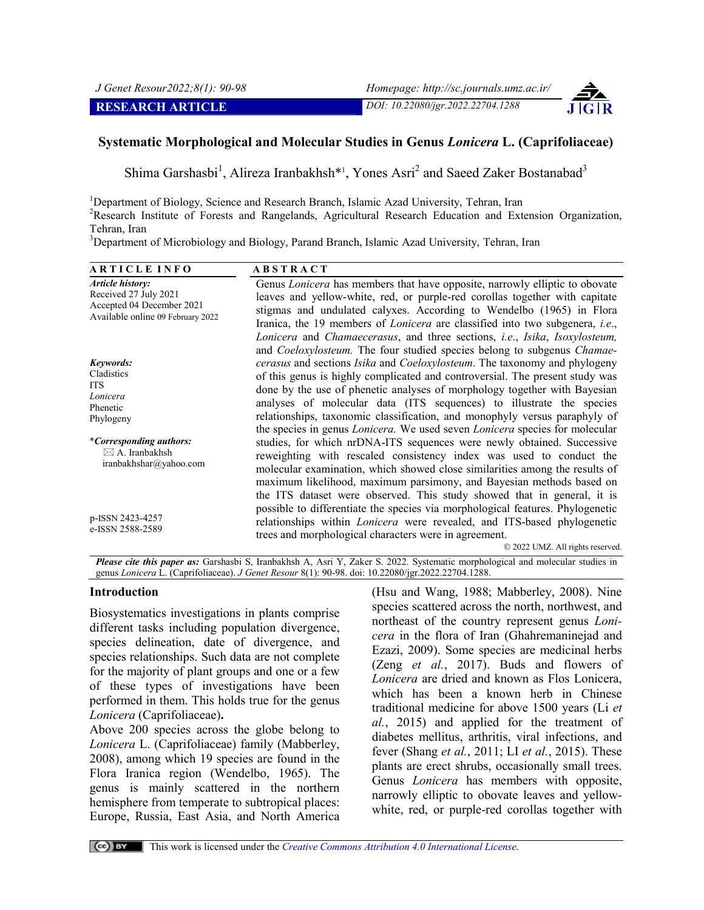

# **Systematic Morphological and Molecular Studies in Genus** *Lonicera* **L. (Caprifoliaceae)**

Shima Garshasbi<sup>1</sup>, Alireza Iranbakhsh<sup>\*1</sup>, Yones Asri<sup>2</sup> and Saeed Zaker Bostanabad<sup>3</sup>

<sup>1</sup>Department of Biology, Science and Research Branch, Islamic Azad University, Tehran, Iran <sup>2</sup>Pesearch, Institute of Estessa and Pangelands, Agricultural Pesearch, Education and Ext <sup>2</sup>Research Institute of Forests and Rangelands, Agricultural Research Education and Extension Organization,

**RESEARCH ARTICLE** *DOI: 10.22080/jgr.2022.22704.1288*

Tehran, Iran <sup>3</sup>Department of Microbiology and Biology, Parand Branch, Islamic Azad University, Tehran, Iran

**A R T I C L E I N F O A B S T R A C T** *Article history:* Received 27 July 2021 Accepted 04 December 2021 Available online 09 February 2022 Genus *Lonicera* has members that have opposite, narrowly elliptic to obovate leaves and yellow-white, red, or purple-red corollas together with capitate stigmas and undulated calyxes. According to Wendelbo (1965) in Flora Iranica, the 19 members of *Lonicera* are classified into two subgenera, *i.e*., *Lonicera* and *Chamaecerasus*, and three sections, *i.e*., *Isika*, *Isoxylosteum,* and *Coeloxylosteum.* The four studied species belong to subgenus *Chamaecerasus* and sections *Isika* and *Coeloxylosteum*. The taxonomy and phylogeny of this genus is highly complicated and controversial. The present study was done by the use of phenetic analyses of morphology together with Bayesian analyses of molecular data (ITS sequences) to illustrate the species relationships, taxonomic classification, and monophyly versus paraphyly of the species in genus *Lonicera.* We used seven *Lonicera* species for molecular studies, for which nrDNA-ITS sequences were newly obtained. Successive reweighting with rescaled consistency index was used to conduct the molecular examination, which showed close similarities among the results of maximum likelihood, maximum parsimony, and Bayesian methods based on the ITS dataset were observed. This study showed that in general, it is possible to differentiate the species via morphological features. Phylogenetic relationships within *Lonicera* were revealed, and ITS-based phylogenetic trees and morphological characters were in agreement. 2022 UMZ. All rights reserved. *Keywords:* Cladistics ITS *Lonicera* Phenetic Phylogeny \**Corresponding authors:*  $\boxtimes$  A. Iranbakhsh iranbakhshar@yahoo.com p-ISSN 2423-4257 e-ISSN 2588-2589

*Please cite this paper as:* Garshasbi S, Iranbakhsh A, Asri Y, Zaker S. 2022. Systematic morphological and molecular studies in genus *Lonicera* L. (Caprifoliaceae). *J Genet Resour* 8(1): 90-98. doi: 10.22080/jgr.2022.22704.1288.

#### **Introduction**

Biosystematics investigations in plants comprise different tasks including population divergence, species delineation, date of divergence, and species relationships. Such data are not complete for the majority of plant groups and one or a few of these types of investigations have been performed in them. This holds true for the genus *Lonicera* (Caprifoliaceae)**.**

Above 200 species across the globe belong to *Lonicera* L. (Caprifoliaceae) family (Mabberley, 2008), among which 19 species are found in the Flora Iranica region (Wendelbo, 1965). The genus is mainly scattered in the northern hemisphere from temperate to subtropical places: Europe, Russia, East Asia, and North America

(Hsu and Wang, 1988; Mabberley, 2008). Nine species scattered across the north, northwest, and northeast of the country represent genus *Lonicera* in the flora of Iran (Ghahremaninejad and Ezazi, 2009). Some species are medicinal herbs (Zeng *et al.*, 2017). Buds and flowers of *Lonicera* are dried and known as Flos Lonicera, which has been a known herb in Chinese traditional medicine for above 1500 years (Li *et al.*, 2015) and applied for the treatment of diabetes mellitus, arthritis, viral infections, and fever (Shang *et al.*, 2011; LI *et al.*, 2015). These plants are erect shrubs, occasionally small trees. Genus *Lonicera* has members with opposite, narrowly elliptic to obovate leaves and yellowwhite, red, or purple-red corollas together with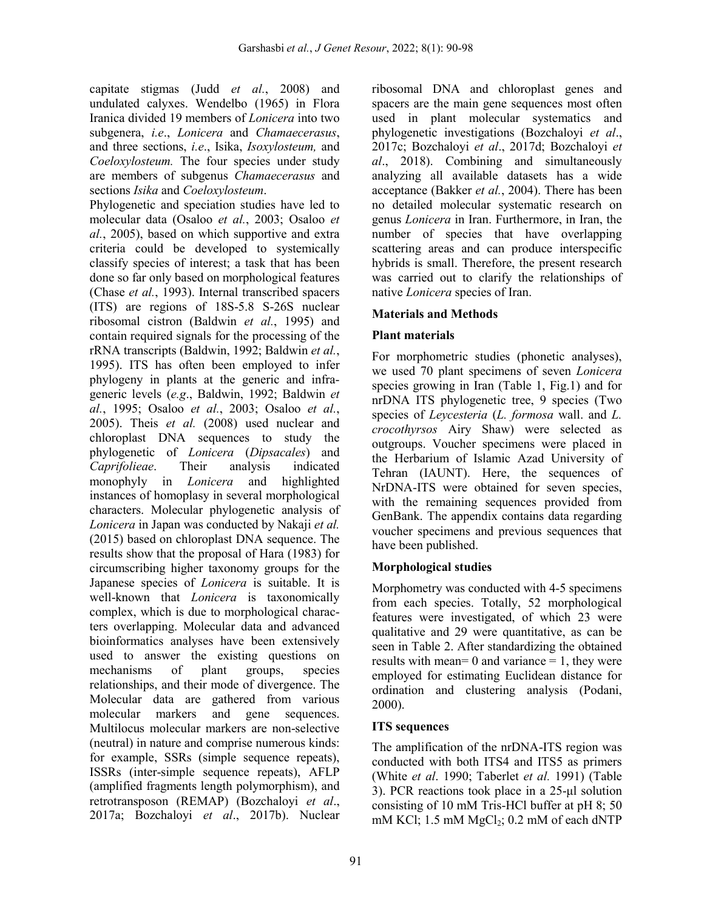capitate stigmas (Judd *et al.*, 2008) and undulated calyxes. Wendelbo (1965) in Flora Iranica divided 19 members of *Lonicera* into two subgenera, *i.e*., *Lonicera* and *Chamaecerasus*, and three sections, *i.e*., Isika, *Isoxylosteum,* and *Coeloxylosteum.* The four species under study are members of subgenus *Chamaecerasus* and sections *Isika* and *Coeloxylosteum*.

Phylogenetic and speciation studies have led to molecular data (Osaloo *et al.*, 2003; Osaloo *et al.*, 2005), based on which supportive and extra criteria could be developed to systemically classify species of interest; a task that has been done so far only based on morphological features (Chase *et al.*, 1993). Internal transcribed spacers (ITS) are regions of 18S-5.8 S-26S nuclear ribosomal cistron (Baldwin *et al.*, 1995) and contain required signals for the processing of the rRNA transcripts (Baldwin, 1992; Baldwin *et al.*, 1995). ITS has often been employed to infer phylogeny in plants at the generic and infrageneric levels (*e.g*., Baldwin, 1992; Baldwin *et al.*, 1995; Osaloo *et al.*, 2003; Osaloo *et al.*, 2005). Theis *et al.* (2008) used nuclear and chloroplast DNA sequences to study the phylogenetic of *Lonicera* (*Dipsacales*) and *Caprifolieae*. Their analysis indicated monophyly in *Lonicera* and highlighted instances of homoplasy in several morphological characters. Molecular phylogenetic analysis of *Lonicera* in Japan was conducted by Nakaji *et al.* (2015) based on chloroplast DNA sequence. The results show that the proposal of Hara (1983) for circumscribing higher taxonomy groups for the Japanese species of *Lonicera* is suitable. It is well-known that *Lonicera* is taxonomically complex, which is due to morphological characters overlapping. Molecular data and advanced bioinformatics analyses have been extensively used to answer the existing questions on mechanisms of plant groups, species relationships, and their mode of divergence. The Molecular data are gathered from various molecular markers and gene sequences. Multilocus molecular markers are non-selective (neutral) in nature and comprise numerous kinds: for example, SSRs (simple sequence repeats), ISSRs (inter-simple sequence repeats), AFLP (amplified fragments length polymorphism), and retrotransposon (REMAP) (Bozchaloyi *et al*., 2017a; Bozchaloyi *et al*., 2017b). Nuclear

ribosomal DNA and chloroplast genes and spacers are the main gene sequences most often used in plant molecular systematics and phylogenetic investigations (Bozchaloyi *et al*., 2017c; Bozchaloyi *et al*., 2017d; Bozchaloyi *et al*., 2018). Combining and simultaneously analyzing all available datasets has a wide acceptance (Bakker *et al.*, 2004). There has been no detailed molecular systematic research on genus *Lonicera* in Iran. Furthermore, in Iran, the number of species that have overlapping scattering areas and can produce interspecific hybrids is small. Therefore, the present research was carried out to clarify the relationships of native *Lonicera* species of Iran.

# **Materials and Methods**

# **Plant materials**

For morphometric studies (phonetic analyses), we used 70 plant specimens of seven *Lonicera*  species growing in Iran (Table 1, Fig.1) and for nrDNA ITS phylogenetic tree, 9 species (Two species of *Leycesteria* (*L. formosa* wall. and *L. crocothyrsos* Airy Shaw) were selected as outgroups. Voucher specimens were placed in the Herbarium of Islamic Azad University of Tehran (IAUNT). Here, the sequences of NrDNA-ITS were obtained for seven species, with the remaining sequences provided from GenBank. The appendix contains data regarding voucher specimens and previous sequences that have been published.

# **Morphological studies**

Morphometry was conducted with 4-5 specimens from each species. Totally, 52 morphological features were investigated, of which 23 were qualitative and 29 were quantitative, as can be seen in Table 2. After standardizing the obtained results with mean= 0 and variance = 1, they were employed for estimating Euclidean distance for ordination and clustering analysis (Podani, 2000).

## **ITS sequences**

The amplification of the nrDNA-ITS region was conducted with both ITS4 and ITS5 as primers (White *et al*. 1990; Taberlet *et al.* 1991) (Table 3). PCR reactions took place in a 25-μl solution consisting of 10 mM Tris-HCl buffer at pH 8; 50 mM KCl;  $1.5$  mM MgCl<sub>2</sub>;  $0.2$  mM of each dNTP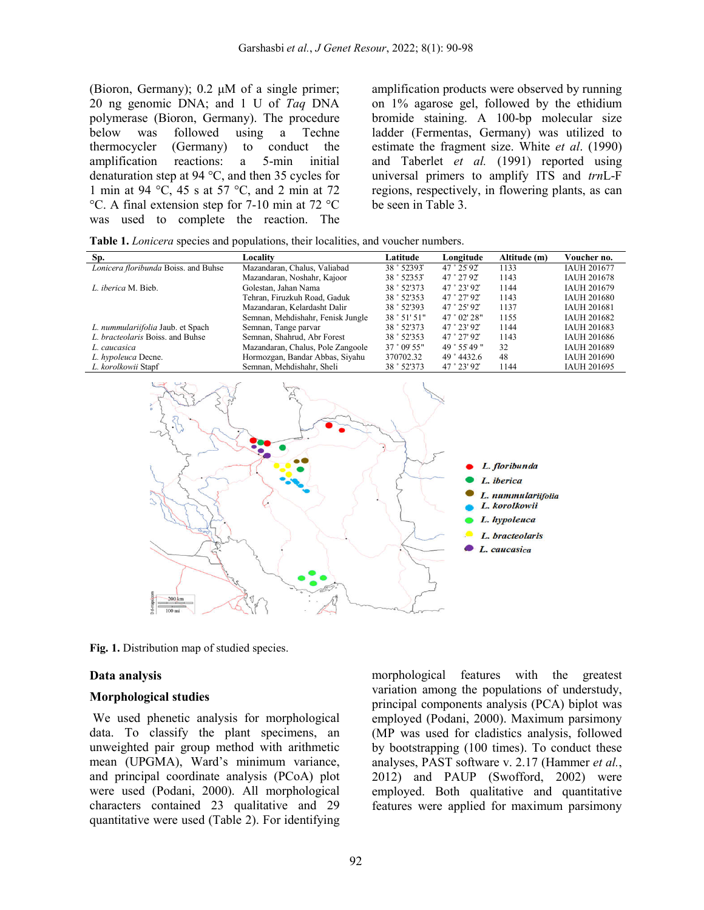(Bioron, Germany); 0.2 μM of a single primer; 20 ng genomic DNA; and 1 U of *Taq* DNA polymerase (Bioron, Germany). The procedure<br>below was followed using a Techne was followed using a Techne thermocycler (Germany) to conduct the amplification reactions: a 5-min initial denaturation step at 94 °C, and then 35 cycles for 1 min at 94 °C, 45 s at 57 °C, and 2 min at 72 °C. A final extension step for 7-10 min at 72 °C was used to complete the reaction. The

amplification products were observed by running on 1% agarose gel, followed by the ethidium bromide staining. A 100-bp molecular size ladder (Fermentas, Germany) was utilized to estimate the fragment size. White *et al*. (1990) and Taberlet *et al.* (1991) reported using universal primers to amplify ITS and *trn*L-F regions, respectively, in flowering plants, as can be seen in Table 3.

| Table 1. Lonicera species and populations, their localities, and voucher numbers. |  |  |  |
|-----------------------------------------------------------------------------------|--|--|--|
|                                                                                   |  |  |  |

| Sp.                                  | Locality                          | Latitude     | Longitude     | Altitude (m) | Voucher no.        |
|--------------------------------------|-----------------------------------|--------------|---------------|--------------|--------------------|
| Lonicera floribunda Boiss. and Buhse | Mazandaran, Chalus, Valiabad      | 38 ° 52'393" | 47 ° 25' 92"  | 1133         | <b>IAUH 201677</b> |
|                                      | Mazandaran, Noshahr, Kajoor       | 38 ° 52353"  | 47 ° 27 92"   | 1143         | <b>JAUH 201678</b> |
| L. iberica M. Bieb.                  | Golestan, Jahan Nama              | 38 ° 52'373  | 47 ° 23' 92"  | 1144         | IAUH 201679        |
|                                      | Tehran, Firuzkuh Road, Gaduk      | 38 ° 52'353  | 47°27'92"     | 1143         | <b>IAUH 201680</b> |
|                                      | Mazandaran, Kelardasht Dalir      | 38 ° 52'393  | 47 ° 25' 92"  | 1137         | <b>IAUH 201681</b> |
|                                      | Semnan, Mehdishahr, Fenisk Jungle | 38°51'51"    | 47°02'28"     | 1155         | <b>IAUH 201682</b> |
| L. nummulariifolia Jaub. et Spach    | Semnan, Tange parvar              | 38 ° 52'373  | 47 ° 23' 92"  | 1144         | IAUH 201683        |
| L. bracteolaris Boiss, and Buhse     | Semnan, Shahrud, Abr Forest       | 38 ° 52'353  | 47 ° 27' 92"  | 1143         | IAUH 201686        |
| L. caucasica                         | Mazandaran, Chalus, Pole Zangoole | 37 ° 09 55"  | 49 ° 55' 49 " | 32           | <b>IAUH 201689</b> |
| L. hypoleuca Decne.                  | Hormozgan, Bandar Abbas, Siyahu   | 370702.32    | 49 ° 4432.6   | 48           | IAUH 201690        |
| L. korolkowii Stapf                  | Semnan, Mehdishahr, Sheli         | 38 ° 52'373  | 47 ° 23' 92"  | 1144         | IAUH 201695        |



**Fig. 1.** Distribution map of studied species.

#### **Data analysis**

#### **Morphological studies**

We used phenetic analysis for morphological data. To classify the plant specimens, an unweighted pair group method with arithmetic mean (UPGMA), Ward's minimum variance, and principal coordinate analysis (PCoA) plot were used (Podani, 2000). All morphological characters contained 23 qualitative and 29 quantitative were used (Table 2). For identifying morphological features with the greatest variation among the populations of understudy, principal components analysis (PCA) biplot was employed (Podani, 2000). Maximum parsimony (MP was used for cladistics analysis, followed by bootstrapping (100 times). To conduct these analyses, PAST software v. 2.17 (Hammer *et al.*, 2012) and PAUP (Swofford, 2002) were employed. Both qualitative and quantitative features were applied for maximum parsimony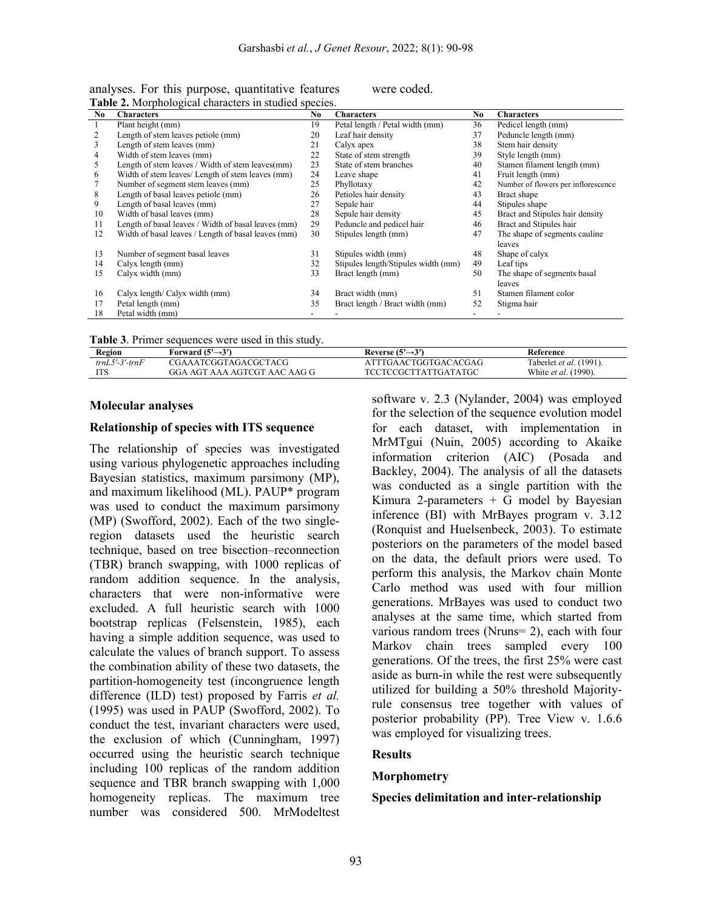| No | <b>Characters</b>                                   | No | <b>Characters</b>                   | No. | <b>Characters</b>                   |
|----|-----------------------------------------------------|----|-------------------------------------|-----|-------------------------------------|
|    | Plant height (mm)                                   | 19 | Petal length / Petal width (mm)     | 36  | Pedicel length (mm)                 |
| 2  | Length of stem leaves petiole (mm)                  | 20 | Leaf hair density                   | 37  | Peduncle length (mm)                |
| 3  | Length of stem leaves (mm)                          | 21 | Calyx apex                          | 38  | Stem hair density                   |
| 4  | Width of stem leaves (mm)                           | 22 | State of stem strength              | 39  | Style length (mm)                   |
| 5  | Length of stem leaves / Width of stem leaves(mm)    | 23 | State of stem branches              | 40  | Stamen filament length (mm)         |
| 6  | Width of stem leaves/ Length of stem leaves (mm)    | 24 | Leave shape                         | 41  | Fruit length (mm)                   |
|    | Number of segment stem leaves (mm)                  | 25 | Phyllotaxy                          | 42  | Number of flowers per inflorescence |
| 8  | Length of basal leaves petiole (mm)                 | 26 | Petioles hair density               | 43  | Bract shape                         |
| 9  | Length of basal leaves (mm)                         | 27 | Sepale hair                         | 44  | Stipules shape                      |
| 10 | Width of basal leaves (mm)                          | 28 | Sepale hair density                 | 45  | Bract and Stipules hair density     |
| 11 | Length of basal leaves / Width of basal leaves (mm) | 29 | Peduncle and pedicel hair           | 46  | Bract and Stipules hair             |
| 12 | Width of basal leaves / Length of basal leaves (mm) | 30 | Stipules length (mm)                | 47  | The shape of segments cauline       |
|    |                                                     |    |                                     |     | leaves                              |
| 13 | Number of segment basal leaves                      | 31 | Stipules width (mm)                 | 48  | Shape of calyx                      |
| 14 | Calyx length (mm)                                   | 32 | Stipules length/Stipules width (mm) | 49  | Leaf tips                           |
| 15 | Calyx width (mm)                                    | 33 | Bract length (mm)                   | 50  | The shape of segments basal         |
|    |                                                     |    |                                     |     | leaves                              |
| 16 | Calyx length/ Calyx width (mm)                      | 34 | Bract width (mm)                    | 51  | Stamen filament color               |
| 17 | Petal length (mm)                                   | 35 | Bract length / Bract width (mm)     | 52  | Stigma hair                         |
| 18 | Petal width (mm)                                    |    |                                     |     |                                     |

analyses. For this purpose, quantitative features were coded. **Table 2.** Morphological characters in studied species.

|  |  | Table 3. Primer sequences were used in this study. |  |  |  |  |  |
|--|--|----------------------------------------------------|--|--|--|--|--|
|--|--|----------------------------------------------------|--|--|--|--|--|

| Region           | Forward (5′→3′)              | Reverse $(5' \rightarrow 3')$ | Reference                      |
|------------------|------------------------------|-------------------------------|--------------------------------|
| $trnL5'-3'-trnF$ | CGAAATCGGTAGACGCTACG         | TTTGAACTGGTGACACGAG           | Taberlet <i>et al.</i> (1991). |
| IТC              | GGA AGT AAA AGTCGT AAC AAG G | TCCTCCGCTTATTGATATGC          | White et al. (<br>$(1990)$ .   |

#### **Molecular analyses**

#### **Relationship of species with ITS sequence**

The relationship of species was investigated using various phylogenetic approaches including Bayesian statistics, maximum parsimony (MP), and maximum likelihood (ML). PAUP\* program was used to conduct the maximum parsimony (MP) (Swofford, 2002). Each of the two singleregion datasets used the heuristic search technique, based on tree bisection–reconnection (TBR) branch swapping, with 1000 replicas of random addition sequence. In the analysis, characters that were non-informative were excluded. A full heuristic search with 1000 bootstrap replicas (Felsenstein, 1985), each having a simple addition sequence, was used to calculate the values of branch support. To assess the combination ability of these two datasets, the partition-homogeneity test (incongruence length difference (ILD) test) proposed by Farris *et al.* (1995) was used in PAUP (Swofford, 2002). To conduct the test, invariant characters were used, the exclusion of which (Cunningham, 1997) occurred using the heuristic search technique including 100 replicas of the random addition sequence and TBR branch swapping with 1,000 homogeneity replicas. The maximum tree number was considered 500. MrModeltest software v. 2.3 (Nylander, 2004) was employed for the selection of the sequence evolution model for each dataset, with implementation in MrMTgui (Nuin, 2005) according to Akaike information criterion (AIC) (Posada and Backley, 2004). The analysis of all the datasets was conducted as a single partition with the Kimura 2-parameters  $+$  G model by Bayesian inference (BI) with MrBayes program v. 3.12 (Ronquist and Huelsenbeck, 2003). To estimate posteriors on the parameters of the model based on the data, the default priors were used. To perform this analysis, the Markov chain Monte Carlo method was used with four million generations. MrBayes was used to conduct two analyses at the same time, which started from various random trees (Nruns= 2), each with four Markov chain trees sampled every 100 generations. Of the trees, the first 25% were cast aside as burn-in while the rest were subsequently utilized for building a 50% threshold Majorityrule consensus tree together with values of posterior probability (PP). Tree View v. 1.6.6 was employed for visualizing trees.

#### **Results**

#### **Morphometry**

#### **Species delimitation and inter-relationship**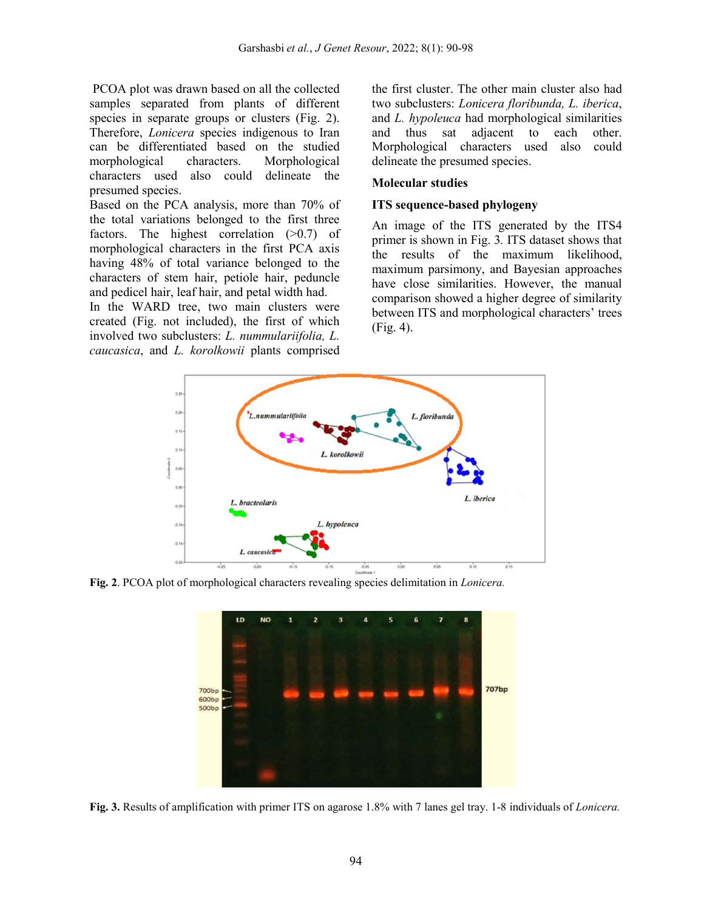PCOA plot was drawn based on all the collected samples separated from plants of different species in separate groups or clusters (Fig. 2). Therefore, *Lonicera* species indigenous to Iran can be differentiated based on the studied morphological characters. Morphological characters used also could delineate the presumed species.

Based on the PCA analysis, more than 70% of the total variations belonged to the first three factors. The highest correlation (>0.7) of morphological characters in the first PCA axis having 48% of total variance belonged to the characters of stem hair, petiole hair, peduncle and pedicel hair, leaf hair, and petal width had.

In the WARD tree, two main clusters were created (Fig. not included), the first of which involved two subclusters: *L. nummulariifolia, L. caucasica*, and *L. korolkowii* plants comprised

the first cluster. The other main cluster also had two subclusters: *Lonicera floribunda, L. iberica*, and *L. hypoleuca* had morphological similarities and thus sat adjacent to each other. Morphological characters used also could delineate the presumed species.

### **Molecular studies**

### **ITS sequence-based phylogeny**

An image of the ITS generated by the ITS4 primer is shown in Fig. 3*.* ITS dataset shows that the results of the maximum likelihood, maximum parsimony, and Bayesian approaches have close similarities. However, the manual comparison showed a higher degree of similarity between ITS and morphological characters' trees (Fig. 4).



**Fig. 2**. PCOA plot of morphological characters revealing species delimitation in *Lonicera.*



**Fig. 3.** Results of amplification with primer ITS on agarose 1.8% with 7 lanes gel tray. 1-8 individuals of *Lonicera.*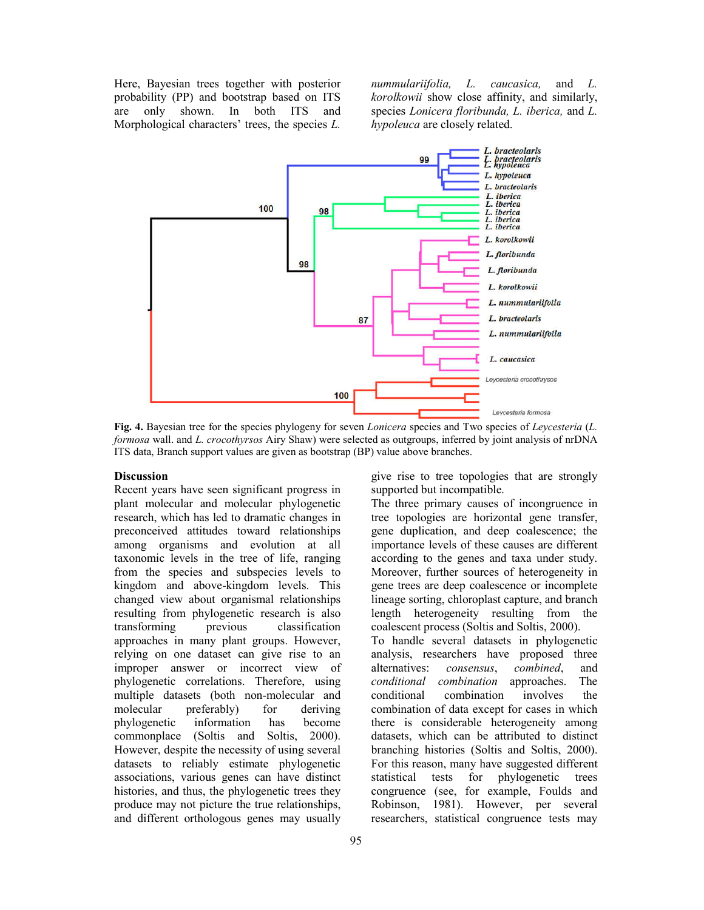Here, Bayesian trees together with posterior probability (PP) and bootstrap based on ITS are only shown. In both ITS and Morphological characters' trees, the species *L.* 

*nummulariifolia, L. caucasica,* and *L. korolkowii* show close affinity, and similarly, species *Lonicera floribunda, L. iberica,* and *L. hypoleuca* are closely related.



**Fig. 4.** Bayesian tree for the species phylogeny for seven *Lonicera* species and Two species of *Leycesteria* (*L. formosa* wall. and *L. crocothyrsos* Airy Shaw) were selected as outgroups, inferred by joint analysis of nrDNA ITS data, Branch support values are given as bootstrap (BP) value above branches.

#### **Discussion**

Recent years have seen significant progress in plant molecular and molecular phylogenetic research, which has led to dramatic changes in preconceived attitudes toward relationships among organisms and evolution at all taxonomic levels in the tree of life, ranging from the species and subspecies levels to kingdom and above-kingdom levels. This changed view about organismal relationships resulting from phylogenetic research is also<br>transforming previous classification dlassification approaches in many plant groups. However, relying on one dataset can give rise to an improper answer or incorrect view of phylogenetic correlations. Therefore, using multiple datasets (both non-molecular and molecular preferably) for deriving phylogenetic information has become commonplace (Soltis and Soltis, 2000). However, despite the necessity of using several datasets to reliably estimate phylogenetic associations, various genes can have distinct histories, and thus, the phylogenetic trees they produce may not picture the true relationships, and different orthologous genes may usually

give rise to tree topologies that are strongly supported but incompatible.

The three primary causes of incongruence in tree topologies are horizontal gene transfer, gene duplication, and deep coalescence; the importance levels of these causes are different according to the genes and taxa under study. Moreover, further sources of heterogeneity in gene trees are deep coalescence or incomplete lineage sorting, chloroplast capture, and branch length heterogeneity resulting from the coalescent process (Soltis and Soltis, 2000).

To handle several datasets in phylogenetic analysis, researchers have proposed three alternatives: *consensus*, *combined*, and *conditional combination* approaches. The conditional combination involves the combination of data except for cases in which there is considerable heterogeneity among datasets, which can be attributed to distinct branching histories (Soltis and Soltis, 2000). For this reason, many have suggested different statistical tests for phylogenetic trees congruence (see, for example, Foulds and Robinson, 1981). However, per several researchers, statistical congruence tests may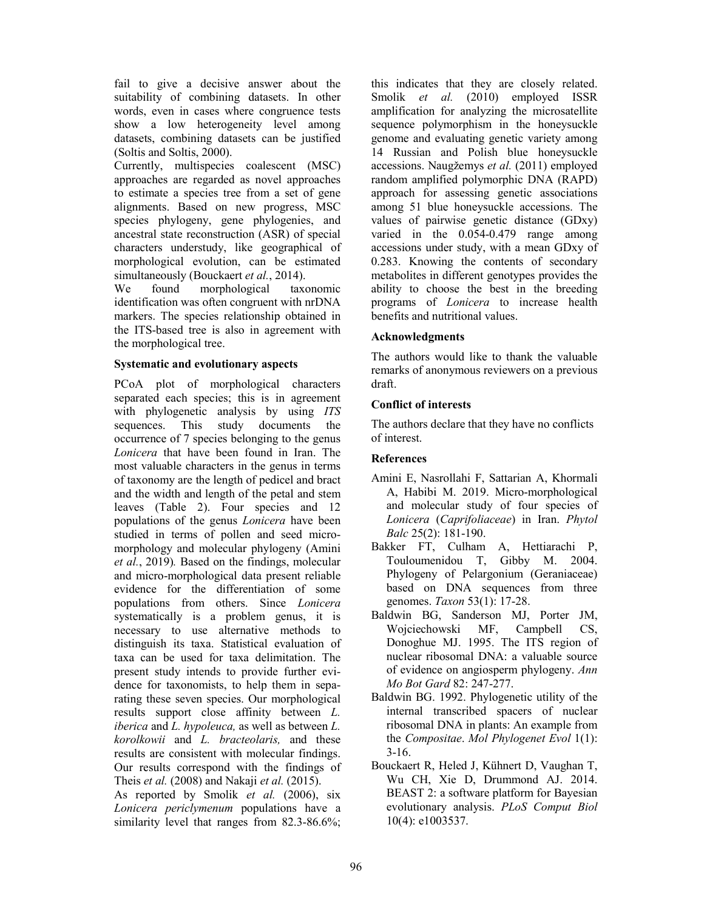fail to give a decisive answer about the suitability of combining datasets. In other words, even in cases where congruence tests show a low heterogeneity level among datasets, combining datasets can be justified (Soltis and Soltis, 2000).

Currently, multispecies coalescent (MSC) approaches are regarded as novel approaches to estimate a species tree from a set of gene alignments. Based on new progress, MSC species phylogeny, gene phylogenies, and ancestral state reconstruction (ASR) of special characters understudy, like geographical of morphological evolution, can be estimated simultaneously (Bouckaert *et al.*, 2014).

We found morphological taxonomic identification was often congruent with nrDNA markers. The species relationship obtained in the ITS-based tree is also in agreement with the morphological tree.

### **Systematic and evolutionary aspects**

PCoA plot of morphological characters separated each species; this is in agreement with phylogenetic analysis by using *ITS*  sequences. This study documents the occurrence of 7 species belonging to the genus *Lonicera* that have been found in Iran. The most valuable characters in the genus in terms of taxonomy are the length of pedicel and bract and the width and length of the petal and stem leaves (Table 2). Four species and 12 populations of the genus *Lonicera* have been studied in terms of pollen and seed micromorphology and molecular phylogeny (Amini *et al.*, 2019)*.* Based on the findings, molecular and micro-morphological data present reliable evidence for the differentiation of some populations from others. Since *Lonicera*  systematically is a problem genus, it is necessary to use alternative methods to distinguish its taxa. Statistical evaluation of taxa can be used for taxa delimitation. The present study intends to provide further evidence for taxonomists, to help them in separating these seven species. Our morphological results support close affinity between *L. iberica* and *L. hypoleuca,* as well as between *L. korolkowii* and *L. bracteolaris,* and these results are consistent with molecular findings. Our results correspond with the findings of Theis *et al.* (2008) and Nakaji *et al.* (2015).

As reported by Smolik *et al.* (2006), six *Lonicera periclymenum* populations have a similarity level that ranges from 82.3-86.6%; this indicates that they are closely related. Smolik *et al.* (2010) employed ISSR amplification for analyzing the microsatellite sequence polymorphism in the honeysuckle genome and evaluating genetic variety among 14 Russian and Polish blue honeysuckle accessions. Naugžemys *et al.* (2011) employed random amplified polymorphic DNA (RAPD) approach for assessing genetic associations among 51 blue honeysuckle accessions. The values of pairwise genetic distance (GDxy) varied in the 0.054-0.479 range among accessions under study, with a mean GDxy of 0.283. Knowing the contents of secondary metabolites in different genotypes provides the ability to choose the best in the breeding programs of *Lonicera* to increase health benefits and nutritional values.

### **Acknowledgments**

The authors would like to thank the valuable remarks of anonymous reviewers on a previous draft.

## **Conflict of interests**

The authors declare that they have no conflicts of interest.

## **References**

- Amini E, Nasrollahi F, Sattarian A, Khormali A, Habibi M. 2019. Micro-morphological and molecular study of four species of *Lonicera* (*Caprifoliaceae*) in Iran. *Phytol Balc* 25(2): 181-190.
- Bakker FT, Culham A, Hettiarachi P, Touloumenidou T, Gibby M. 2004. Phylogeny of Pelargonium (Geraniaceae) based on DNA sequences from three genomes. *Taxon* 53(1): 17-28.
- Baldwin BG, Sanderson MJ, Porter JM, Wojciechowski MF, Campbell CS, Donoghue MJ. 1995. The ITS region of nuclear ribosomal DNA: a valuable source of evidence on angiosperm phylogeny. *Ann Mo Bot Gard* 82: 247-277.
- Baldwin BG. 1992. Phylogenetic utility of the internal transcribed spacers of nuclear ribosomal DNA in plants: An example from the *Compositae*. *Mol Phylogenet Evol* 1(1):  $3-16.$
- Bouckaert R, Heled J, Kühnert D, Vaughan T, Wu CH, Xie D, Drummond AJ. 2014. BEAST 2: a software platform for Bayesian evolutionary analysis. *PLoS Comput Biol* 10(4): e1003537.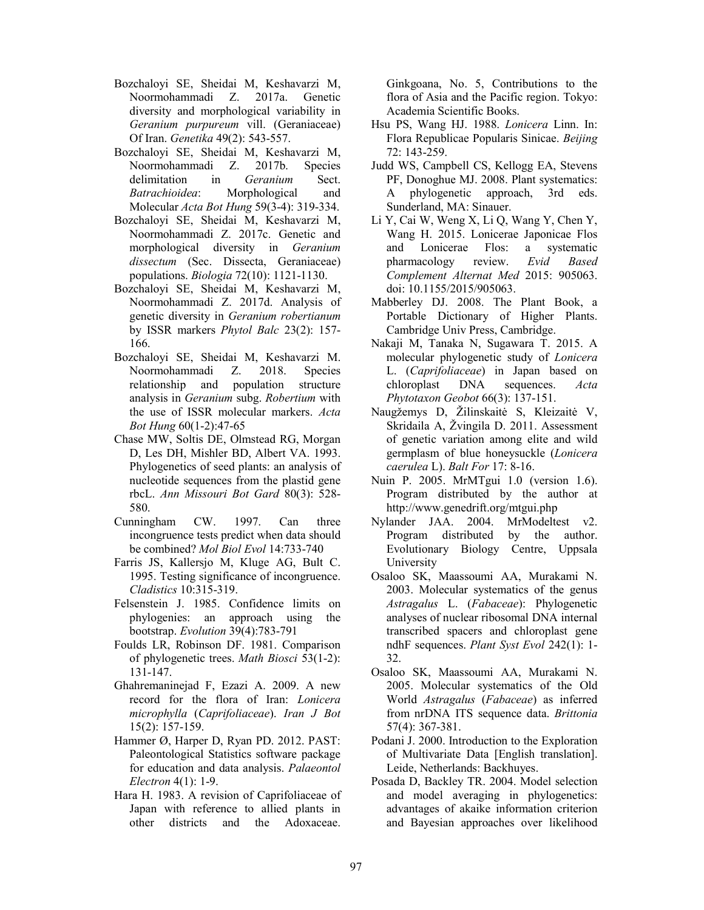- Bozchaloyi SE, Sheidai M, Keshavarzi M, Noormohammadi Z. 2017a. Genetic diversity and morphological variability in *Geranium purpureum* vill. (Geraniaceae) Of Iran. *Genetika* 49(2): 543-557.
- Bozchaloyi SE, Sheidai M, Keshavarzi M, Noormohammadi Z. 2017b. Species delimitation in *Geranium* Sect. *Batrachioidea*: Morphological and Molecular *Acta Bot Hung* 59(3-4): 319-334.
- Bozchaloyi SE, Sheidai M, Keshavarzi M, Noormohammadi Z. 2017c. Genetic and morphological diversity in *Geranium dissectum* (Sec. Dissecta, Geraniaceae) populations. *Biologia* 72(10): 1121-1130.
- Bozchaloyi SE, Sheidai M, Keshavarzi M, Noormohammadi Z. 2017d. Analysis of genetic diversity in *Geranium robertianum*  by ISSR markers *Phytol Balc* 23(2): 157- 166.
- Bozchaloyi SE, Sheidai M, Keshavarzi M. Noormohammadi Z. 2018. Species relationship and population structure analysis in *Geranium* subg. *Robertium* with the use of ISSR molecular markers. *Acta Bot Hung* 60(1-2):47-65
- Chase MW, Soltis DE, Olmstead RG, Morgan D, Les DH, Mishler BD, Albert VA. 1993. Phylogenetics of seed plants: an analysis of nucleotide sequences from the plastid gene rbcL. *Ann Missouri Bot Gard* 80(3): 528- 580.
- Cunningham CW. 1997. Can three incongruence tests predict when data should be combined? *Mol Biol Evol* 14:733-740
- Farris JS, Kallersjo M, Kluge AG, Bult C. 1995. Testing significance of incongruence. *Cladistics* 10:315-319.
- Felsenstein J. 1985. Confidence limits on phylogenies: an approach using the bootstrap. *Evolution* 39(4):783-791
- Foulds LR, Robinson DF. 1981. Comparison of phylogenetic trees. *Math Biosci* 53(1-2): 131-147.
- Ghahremaninejad F, Ezazi A. 2009. A new record for the flora of Iran: *Lonicera microphylla* (*Caprifoliaceae*). *Iran J Bot* 15(2): 157-159.
- Hammer Ø, Harper D, Ryan PD. 2012. PAST: Paleontological Statistics software package for education and data analysis. *Palaeontol Electron* 4(1): 1-9.
- Hara H. 1983. A revision of Caprifoliaceae of Japan with reference to allied plants in other districts and the Adoxaceae.

Ginkgoana, No. 5, Contributions to the flora of Asia and the Pacific region. Tokyo: Academia Scientific Books.

- Hsu PS, Wang HJ. 1988. *Lonicera* Linn. In: Flora Republicae Popularis Sinicae. *Beijing* 72: 143-259.
- Judd WS, Campbell CS, Kellogg EA, Stevens PF, Donoghue MJ. 2008. Plant systematics: A phylogenetic approach, 3rd eds. Sunderland, MA: Sinauer.
- Li Y, Cai W, Weng X, Li Q, Wang Y, Chen Y, Wang H. 2015. Lonicerae Japonicae Flos and Lonicerae Flos: a systematic pharmacology review. *Evid Based Complement Alternat Med* 2015: 905063. doi: 10.1155/2015/905063.
- Mabberley DJ. 2008. The Plant Book, a Portable Dictionary of Higher Plants. Cambridge Univ Press, Cambridge.
- Nakaji M, Tanaka N, Sugawara T. 2015. A molecular phylogenetic study of *Lonicera*  L. (*Caprifoliaceae*) in Japan based on chloroplast DNA sequences. *Acta Phytotaxon Geobot* 66(3): 137-151.
- Naugžemys D, Žilinskaitė S, Kleizaitė V, Skridaila A, Žvingila D. 2011. Assessment of genetic variation among elite and wild germplasm of blue honeysuckle (*Lonicera caerulea* L). *Balt For* 17: 8-16.
- Nuin P. 2005. MrMTgui 1.0 (version 1.6). Program distributed by the author at http://www.genedrift.org/mtgui.php
- Nylander JAA. 2004. MrModeltest v2. Program distributed by the author. Evolutionary Biology Centre, Uppsala University
- Osaloo SK, Maassoumi AA, Murakami N. 2003. Molecular systematics of the genus *Astragalus* L. (*Fabaceae*): Phylogenetic analyses of nuclear ribosomal DNA internal transcribed spacers and chloroplast gene ndhF sequences. *Plant Syst Evol* 242(1): 1- 32.
- Osaloo SK, Maassoumi AA, Murakami N. 2005. Molecular systematics of the Old World *Astragalus* (*Fabaceae*) as inferred from nrDNA ITS sequence data. *Brittonia* 57(4): 367-381.
- Podani J. 2000. Introduction to the Exploration of Multivariate Data [English translation]. Leide, Netherlands: Backhuyes.
- Posada D, Backley TR. 2004. Model selection and model averaging in phylogenetics: advantages of akaike information criterion and Bayesian approaches over likelihood